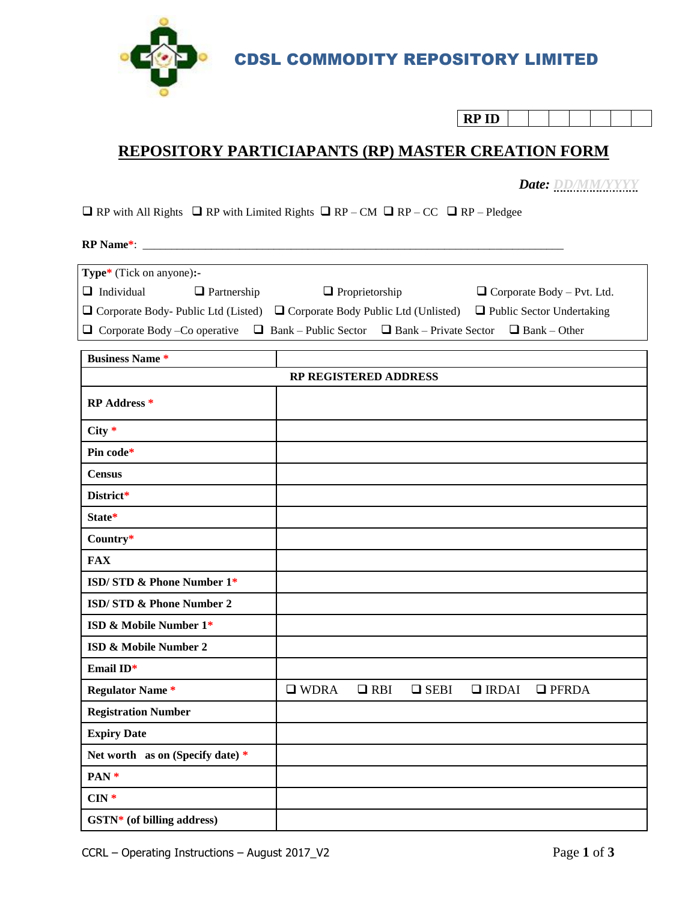

CDSL COMMODITY REPOSITORY LIMITED

| D I J |  |  |  |
|-------|--|--|--|

## **REPOSITORY PARTICIAPANTS (RP) MASTER CREATION FORM**

 *Date: DD/MM/YYYY*

 $\Box$  RP with All Rights  $\Box$  RP with Limited Rights  $\Box$  RP – CM  $\Box$  RP – CC  $\Box$  RP – Pledgee

**RP Name\***: \_\_\_\_\_\_\_\_\_\_\_\_\_\_\_\_\_\_\_\_\_\_\_\_\_\_\_\_\_\_\_\_\_\_\_\_\_\_\_\_\_\_\_\_\_\_\_\_\_\_\_\_\_\_\_\_\_\_\_\_\_\_\_\_\_\_\_\_\_\_\_\_\_\_

| <b>Type*</b> (Tick on anyone):- |                    |                                                                                                                        |                                   |  |  |  |
|---------------------------------|--------------------|------------------------------------------------------------------------------------------------------------------------|-----------------------------------|--|--|--|
| $\Box$ Individual               | $\Box$ Partnership | $\Box$ Proprietorship                                                                                                  | $\Box$ Corporate Body – Pvt. Ltd. |  |  |  |
|                                 |                    | $\Box$ Corporate Body-Public Ltd (Listed) $\Box$ Corporate Body Public Ltd (Unlisted) $\Box$ Public Sector Undertaking |                                   |  |  |  |
|                                 |                    | <b>O</b> Corporate Body – Co operative $\Box$ Bank – Public Sector $\Box$ Bank – Private Sector $\Box$ Bank – Other    |                                   |  |  |  |

| <b>Business Name*</b>            |                |            |             |              |              |
|----------------------------------|----------------|------------|-------------|--------------|--------------|
| RP REGISTERED ADDRESS            |                |            |             |              |              |
| <b>RP Address *</b>              |                |            |             |              |              |
| $City *$                         |                |            |             |              |              |
| Pin code*                        |                |            |             |              |              |
| <b>Census</b>                    |                |            |             |              |              |
| District*                        |                |            |             |              |              |
| State*                           |                |            |             |              |              |
| Country*                         |                |            |             |              |              |
| <b>FAX</b>                       |                |            |             |              |              |
| ISD/STD & Phone Number 1*        |                |            |             |              |              |
| ISD/STD & Phone Number 2         |                |            |             |              |              |
| ISD & Mobile Number 1*           |                |            |             |              |              |
| ISD & Mobile Number 2            |                |            |             |              |              |
| Email ID*                        |                |            |             |              |              |
| <b>Regulator Name*</b>           | $\square$ WDRA | $\Box$ RBI | $\Box$ SEBI | $\Box$ IRDAI | $\Box$ PFRDA |
| <b>Registration Number</b>       |                |            |             |              |              |
| <b>Expiry Date</b>               |                |            |             |              |              |
| Net worth as on (Specify date) * |                |            |             |              |              |
| PAN <sup>*</sup>                 |                |            |             |              |              |
| $CIN*$                           |                |            |             |              |              |
| GSTN* (of billing address)       |                |            |             |              |              |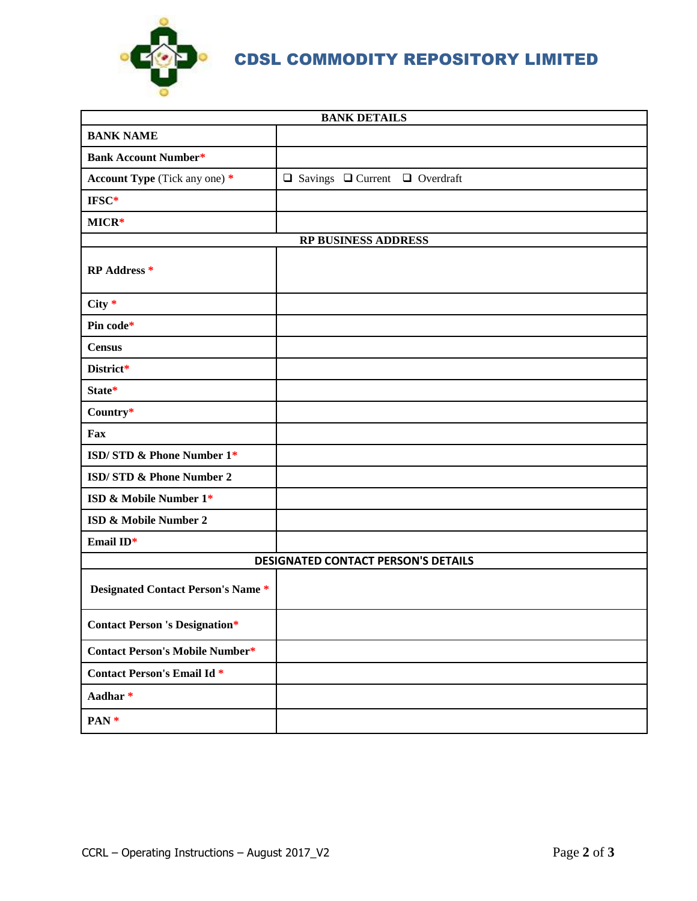

CDSL COMMODITY REPOSITORY LIMITED

| <b>BANK DETAILS</b>                        |                                                |  |  |  |  |
|--------------------------------------------|------------------------------------------------|--|--|--|--|
| <b>BANK NAME</b>                           |                                                |  |  |  |  |
| <b>Bank Account Number*</b>                |                                                |  |  |  |  |
| <b>Account Type</b> (Tick any one) *       | $\Box$ Savings $\Box$ Current $\Box$ Overdraft |  |  |  |  |
| IFSC*                                      |                                                |  |  |  |  |
| MICR*                                      |                                                |  |  |  |  |
|                                            | <b>RP BUSINESS ADDRESS</b>                     |  |  |  |  |
| <b>RP</b> Address *                        |                                                |  |  |  |  |
| $City *$                                   |                                                |  |  |  |  |
| Pin code*                                  |                                                |  |  |  |  |
| <b>Census</b>                              |                                                |  |  |  |  |
| District*                                  |                                                |  |  |  |  |
| State*                                     |                                                |  |  |  |  |
| Country*                                   |                                                |  |  |  |  |
| Fax                                        |                                                |  |  |  |  |
| ISD/STD & Phone Number 1*                  |                                                |  |  |  |  |
| ISD/STD & Phone Number 2                   |                                                |  |  |  |  |
| ISD & Mobile Number 1*                     |                                                |  |  |  |  |
| ISD & Mobile Number 2                      |                                                |  |  |  |  |
| Email ID*                                  |                                                |  |  |  |  |
| <b>DESIGNATED CONTACT PERSON'S DETAILS</b> |                                                |  |  |  |  |
| Designated Contact Person's Name *         |                                                |  |  |  |  |
| <b>Contact Person 's Designation*</b>      |                                                |  |  |  |  |
| <b>Contact Person's Mobile Number*</b>     |                                                |  |  |  |  |
| <b>Contact Person's Email Id *</b>         |                                                |  |  |  |  |
| Aadhar*                                    |                                                |  |  |  |  |
| PAN <sup>*</sup>                           |                                                |  |  |  |  |